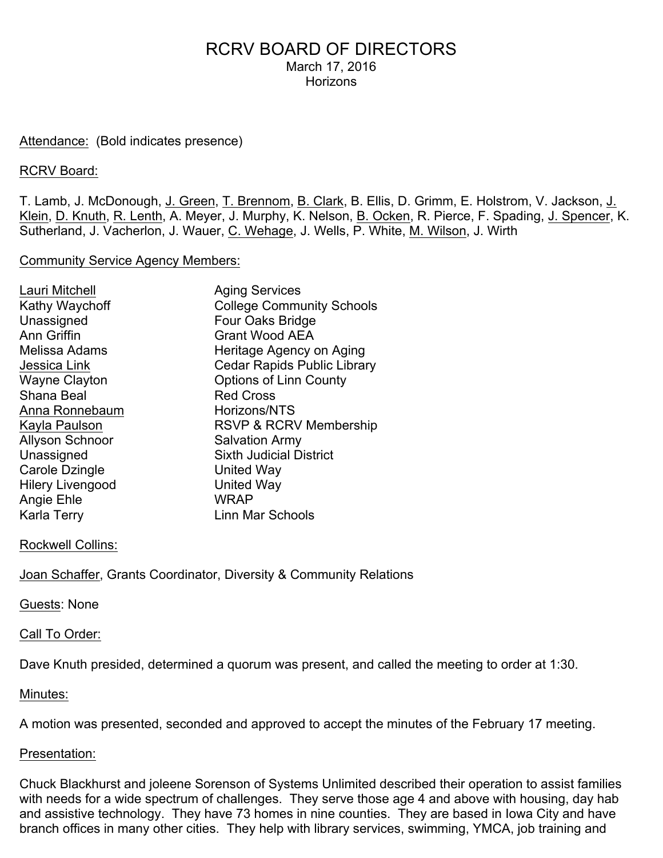# RCRV BOARD OF DIRECTORS March 17, 2016 **Horizons**

#### Attendance: (Bold indicates presence)

#### RCRV Board:

T. Lamb, J. McDonough, J. Green, T. Brennom, B. Clark, B. Ellis, D. Grimm, E. Holstrom, V. Jackson, J. Klein, D. Knuth, R. Lenth, A. Meyer, J. Murphy, K. Nelson, B. Ocken, R. Pierce, F. Spading, J. Spencer, K. Sutherland, J. Vacherlon, J. Wauer, C. Wehage, J. Wells, P. White, M. Wilson, J. Wirth

#### Community Service Agency Members:

| Lauri Mitchell          | <b>Aging Services</b>              |
|-------------------------|------------------------------------|
| Kathy Waychoff          | <b>College Community Schools</b>   |
| Unassigned              | Four Oaks Bridge                   |
| Ann Griffin             | <b>Grant Wood AEA</b>              |
| Melissa Adams           | Heritage Agency on Aging           |
| Jessica Link            | <b>Cedar Rapids Public Library</b> |
| <b>Wayne Clayton</b>    | <b>Options of Linn County</b>      |
| Shana Beal              | <b>Red Cross</b>                   |
| Anna Ronnebaum          | Horizons/NTS                       |
| Kayla Paulson           | <b>RSVP &amp; RCRV Membership</b>  |
| <b>Allyson Schnoor</b>  | <b>Salvation Army</b>              |
| Unassigned              | <b>Sixth Judicial District</b>     |
| Carole Dzingle          | United Way                         |
| <b>Hilery Livengood</b> | <b>United Way</b>                  |
| Angie Ehle              | <b>WRAP</b>                        |
| <b>Karla Terry</b>      | Linn Mar Schools                   |

#### Rockwell Collins:

Joan Schaffer, Grants Coordinator, Diversity & Community Relations

#### Guests: None

#### Call To Order:

Dave Knuth presided, determined a quorum was present, and called the meeting to order at 1:30.

#### Minutes:

A motion was presented, seconded and approved to accept the minutes of the February 17 meeting.

#### Presentation:

Chuck Blackhurst and joleene Sorenson of Systems Unlimited described their operation to assist families with needs for a wide spectrum of challenges. They serve those age 4 and above with housing, day hab and assistive technology. They have 73 homes in nine counties. They are based in Iowa City and have branch offices in many other cities. They help with library services, swimming, YMCA, job training and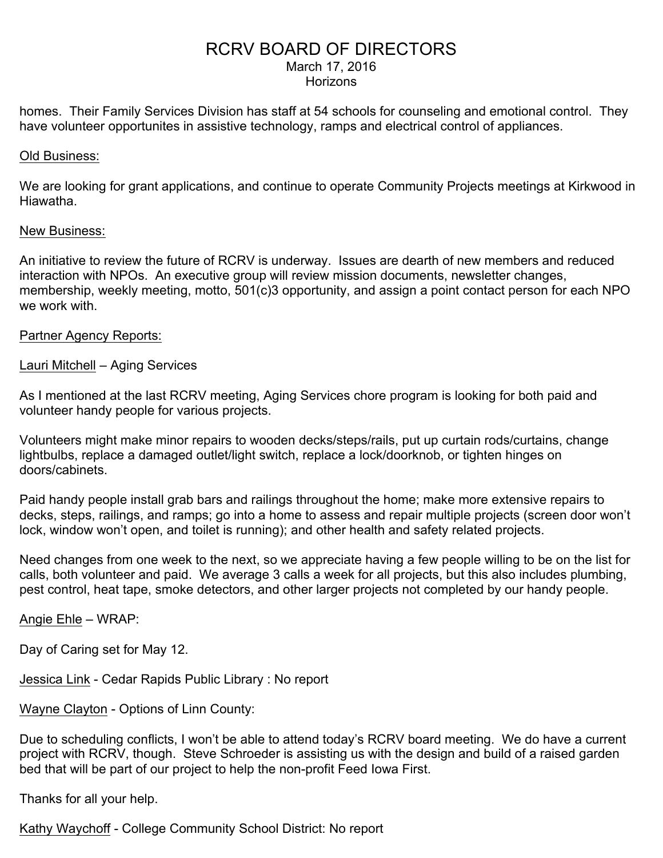# RCRV BOARD OF DIRECTORS March 17, 2016

Horizons

homes. Their Family Services Division has staff at 54 schools for counseling and emotional control. They have volunteer opportunites in assistive technology, ramps and electrical control of appliances.

### Old Business:

We are looking for grant applications, and continue to operate Community Projects meetings at Kirkwood in Hiawatha.

### New Business:

An initiative to review the future of RCRV is underway. Issues are dearth of new members and reduced interaction with NPOs. An executive group will review mission documents, newsletter changes, membership, weekly meeting, motto, 501(c)3 opportunity, and assign a point contact person for each NPO we work with.

### Partner Agency Reports:

## Lauri Mitchell – Aging Services

As I mentioned at the last RCRV meeting, Aging Services chore program is looking for both paid and volunteer handy people for various projects.

Volunteers might make minor repairs to wooden decks/steps/rails, put up curtain rods/curtains, change lightbulbs, replace a damaged outlet/light switch, replace a lock/doorknob, or tighten hinges on doors/cabinets.

Paid handy people install grab bars and railings throughout the home; make more extensive repairs to decks, steps, railings, and ramps; go into a home to assess and repair multiple projects (screen door won't lock, window won't open, and toilet is running); and other health and safety related projects.

Need changes from one week to the next, so we appreciate having a few people willing to be on the list for calls, both volunteer and paid. We average 3 calls a week for all projects, but this also includes plumbing, pest control, heat tape, smoke detectors, and other larger projects not completed by our handy people.

## Angie Ehle – WRAP:

Day of Caring set for May 12.

Jessica Link - Cedar Rapids Public Library : No report

Wayne Clayton - Options of Linn County:

Due to scheduling conflicts, I won't be able to attend today's RCRV board meeting. We do have a current project with RCRV, though. Steve Schroeder is assisting us with the design and build of a raised garden bed that will be part of our project to help the non-profit Feed Iowa First.

Thanks for all your help.

Kathy Waychoff - College Community School District: No report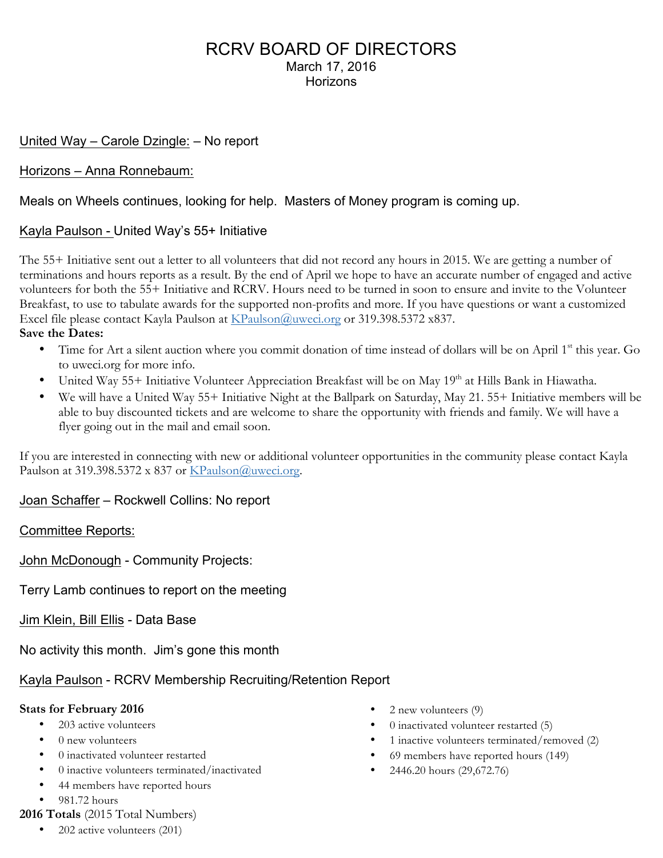# RCRV BOARD OF DIRECTORS March 17, 2016 Horizons

## United Way – Carole Dzingle: – No report

## Horizons – Anna Ronnebaum:

# Meals on Wheels continues, looking for help. Masters of Money program is coming up.

## Kayla Paulson - United Way's 55+ Initiative

The 55+ Initiative sent out a letter to all volunteers that did not record any hours in 2015. We are getting a number of terminations and hours reports as a result. By the end of April we hope to have an accurate number of engaged and active volunteers for both the 55+ Initiative and RCRV. Hours need to be turned in soon to ensure and invite to the Volunteer Breakfast, to use to tabulate awards for the supported non-profits and more. If you have questions or want a customized Excel file please contact Kayla Paulson at KPaulson@uweci.org or 319.398.5372 x837.

### **Save the Dates:**

- Time for Art a silent auction where you commit donation of time instead of dollars will be on April 1<sup>st</sup> this year. Go to uweci.org for more info.
- United Way 55+ Initiative Volunteer Appreciation Breakfast will be on May 19<sup>th</sup> at Hills Bank in Hiawatha.
- We will have a United Way 55+ Initiative Night at the Ballpark on Saturday, May 21. 55+ Initiative members will be able to buy discounted tickets and are welcome to share the opportunity with friends and family. We will have a flyer going out in the mail and email soon.

If you are interested in connecting with new or additional volunteer opportunities in the community please contact Kayla Paulson at 319.398.5372 x 837 or KPaulson@uweci.org.

## Joan Schaffer – Rockwell Collins: No report

## Committee Reports:

John McDonough - Community Projects:

Terry Lamb continues to report on the meeting

Jim Klein, Bill Ellis - Data Base

No activity this month. Jim's gone this month

# Kayla Paulson - RCRV Membership Recruiting/Retention Report

## **Stats for February 2016**

- 203 active volunteers
- 0 new volunteers
- 0 inactivated volunteer restarted
- 0 inactive volunteers terminated/inactivated
- 44 members have reported hours
- $\bullet$  981.72 hours

## **2016 Totals** (2015 Total Numbers)

• 202 active volunteers (201)

- 2 new volunteers (9)
- 0 inactivated volunteer restarted (5)
- 1 inactive volunteers terminated/removed (2)
- 69 members have reported hours (149)
- 2446.20 hours (29,672.76)